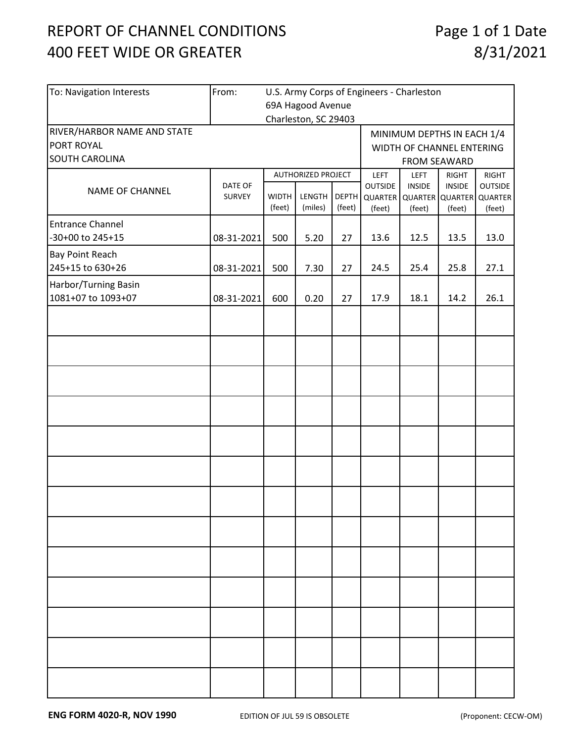## REPORT OF CHANNEL CONDITIONS 400 FEET WIDE OR GREATER

| To: Navigation Interests    | From:<br>U.S. Army Corps of Engineers - Charleston |                    |                      |              |                                  |                            |               |                                           |  |  |  |
|-----------------------------|----------------------------------------------------|--------------------|----------------------|--------------|----------------------------------|----------------------------|---------------|-------------------------------------------|--|--|--|
|                             | 69A Hagood Avenue                                  |                    |                      |              |                                  |                            |               |                                           |  |  |  |
|                             |                                                    |                    | Charleston, SC 29403 |              |                                  |                            |               |                                           |  |  |  |
| RIVER/HARBOR NAME AND STATE |                                                    |                    |                      |              |                                  | MINIMUM DEPTHS IN EACH 1/4 |               |                                           |  |  |  |
| PORT ROYAL                  |                                                    |                    |                      |              | WIDTH OF CHANNEL ENTERING        |                            |               |                                           |  |  |  |
| SOUTH CAROLINA              |                                                    |                    |                      |              |                                  | FROM SEAWARD               |               |                                           |  |  |  |
| NAME OF CHANNEL             |                                                    | AUTHORIZED PROJECT |                      |              | <b>LEFT</b>                      | <b>LEFT</b>                | <b>RIGHT</b>  | RIGHT                                     |  |  |  |
|                             | DATE OF<br><b>SURVEY</b>                           | <b>WIDTH</b>       | LENGTH               | <b>DEPTH</b> | <b>OUTSIDE</b><br><b>QUARTER</b> | <b>INSIDE</b>              | <b>INSIDE</b> | <b>OUTSIDE</b><br>QUARTER QUARTER QUARTER |  |  |  |
|                             |                                                    | (feet)             | (miles)              | (feet)       | (feet)                           | (feet)                     | (feet)        | (feet)                                    |  |  |  |
| <b>Entrance Channel</b>     |                                                    |                    |                      |              |                                  |                            |               |                                           |  |  |  |
| -30+00 to 245+15            | 08-31-2021                                         | 500                | 5.20                 | 27           | 13.6                             | 12.5                       | 13.5          | 13.0                                      |  |  |  |
| Bay Point Reach             |                                                    |                    |                      |              |                                  |                            |               |                                           |  |  |  |
| 245+15 to 630+26            | 08-31-2021                                         | 500                | 7.30                 | 27           | 24.5                             | 25.4                       | 25.8          | 27.1                                      |  |  |  |
| Harbor/Turning Basin        |                                                    |                    |                      |              |                                  |                            |               |                                           |  |  |  |
| 1081+07 to 1093+07          | 08-31-2021                                         | 600                | 0.20                 | 27           | 17.9                             | 18.1                       | 14.2          | 26.1                                      |  |  |  |
|                             |                                                    |                    |                      |              |                                  |                            |               |                                           |  |  |  |
|                             |                                                    |                    |                      |              |                                  |                            |               |                                           |  |  |  |
|                             |                                                    |                    |                      |              |                                  |                            |               |                                           |  |  |  |
|                             |                                                    |                    |                      |              |                                  |                            |               |                                           |  |  |  |
|                             |                                                    |                    |                      |              |                                  |                            |               |                                           |  |  |  |
|                             |                                                    |                    |                      |              |                                  |                            |               |                                           |  |  |  |
|                             |                                                    |                    |                      |              |                                  |                            |               |                                           |  |  |  |
|                             |                                                    |                    |                      |              |                                  |                            |               |                                           |  |  |  |
|                             |                                                    |                    |                      |              |                                  |                            |               |                                           |  |  |  |
|                             |                                                    |                    |                      |              |                                  |                            |               |                                           |  |  |  |
|                             |                                                    |                    |                      |              |                                  |                            |               |                                           |  |  |  |
|                             |                                                    |                    |                      |              |                                  |                            |               |                                           |  |  |  |
|                             |                                                    |                    |                      |              |                                  |                            |               |                                           |  |  |  |
|                             |                                                    |                    |                      |              |                                  |                            |               |                                           |  |  |  |
|                             |                                                    |                    |                      |              |                                  |                            |               |                                           |  |  |  |